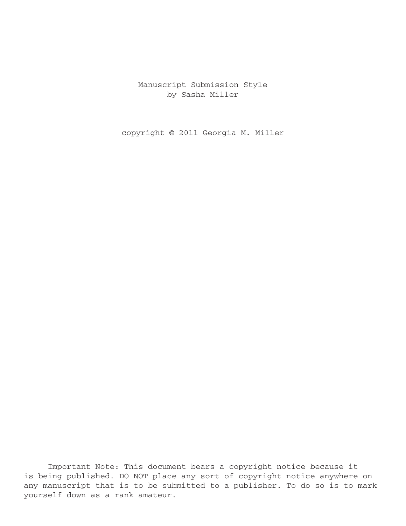Manuscript Submission Style by Sasha Miller

copyright © 2011 Georgia M. Miller

Important Note: This document bears a copyright notice because it is being published. DO NOT place any sort of copyright notice anywhere on any manuscript that is to be submitted to a publisher. To do so is to mark yourself down as a rank amateur.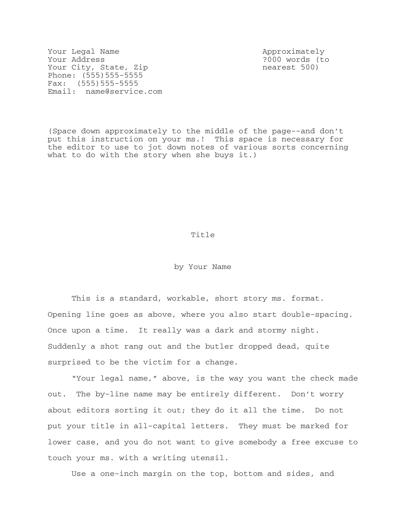Your Legal Name Approximately Your Address ?000 words (to Your City, State, Zip nearest 500) Phone: (555)555-5555 Fax: (555)555-5555 Email: name@service.com

(Space down approximately to the middle of the page--and don't put this instruction on your ms.! This space is necessary for the editor to use to jot down notes of various sorts concerning what to do with the story when she buys it.)

Title

by Your Name

This is a standard, workable, short story ms. format. Opening line goes as above, where you also start double-spacing. Once upon a time. It really was a dark and stormy night. Suddenly a shot rang out and the butler dropped dead, quite surprised to be the victim for a change.

"Your legal name," above, is the way you want the check made out. The by-line name may be entirely different. Don't worry about editors sorting it out; they do it all the time. Do not put your title in all-capital letters. They must be marked for lower case, and you do not want to give somebody a free excuse to touch your ms. with a writing utensil.

Use a one-inch margin on the top, bottom and sides, and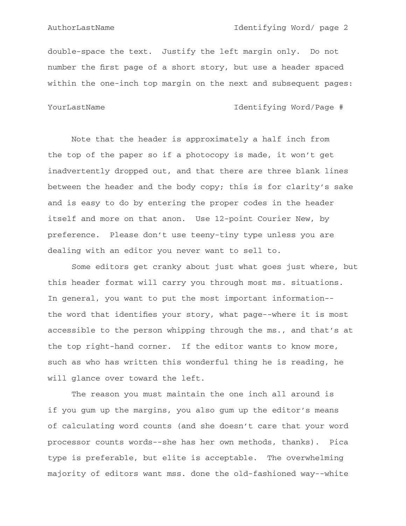double-space the text. Justify the left margin only. Do not number the first page of a short story, but use a header spaced within the one-inch top margin on the next and subsequent pages:

# YourLastName Identifying Word/Page #

Note that the header is approximately a half inch from the top of the paper so if a photocopy is made, it won't get inadvertently dropped out, and that there are three blank lines between the header and the body copy; this is for clarity's sake and is easy to do by entering the proper codes in the header itself and more on that anon. Use 12-point Courier New, by preference. Please don't use teeny-tiny type unless you are dealing with an editor you never want to sell to.

Some editors get cranky about just what goes just where, but this header format will carry you through most ms. situations. In general, you want to put the most important information-the word that identifies your story, what page--where it is most accessible to the person whipping through the ms., and that's at the top right-hand corner. If the editor wants to know more, such as who has written this wonderful thing he is reading, he will glance over toward the left.

The reason you must maintain the one inch all around is if you gum up the margins, you also gum up the editor's means of calculating word counts (and she doesn't care that your word processor counts words--she has her own methods, thanks). Pica type is preferable, but elite is acceptable. The overwhelming majority of editors want mss. done the old-fashioned way--white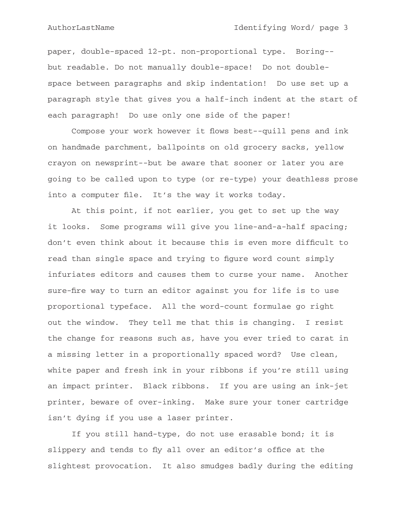paper, double-spaced 12-pt. non-proportional type. Boring-but readable. Do not manually double-space! Do not doublespace between paragraphs and skip indentation! Do use set up a paragraph style that gives you a half-inch indent at the start of each paragraph! Do use only one side of the paper!

Compose your work however it flows best--quill pens and ink on handmade parchment, ballpoints on old grocery sacks, yellow crayon on newsprint--but be aware that sooner or later you are going to be called upon to type (or re-type) your deathless prose into a computer file. It's the way it works today.

At this point, if not earlier, you get to set up the way it looks. Some programs will give you line-and-a-half spacing; don't even think about it because this is even more difficult to read than single space and trying to figure word count simply infuriates editors and causes them to curse your name. Another sure-fire way to turn an editor against you for life is to use proportional typeface. All the word-count formulae go right out the window. They tell me that this is changing. I resist the change for reasons such as, have you ever tried to carat in a missing letter in a proportionally spaced word? Use clean, white paper and fresh ink in your ribbons if you're still using an impact printer. Black ribbons. If you are using an ink-jet printer, beware of over-inking. Make sure your toner cartridge isn't dying if you use a laser printer.

If you still hand-type, do not use erasable bond; it is slippery and tends to fly all over an editor's office at the slightest provocation. It also smudges badly during the editing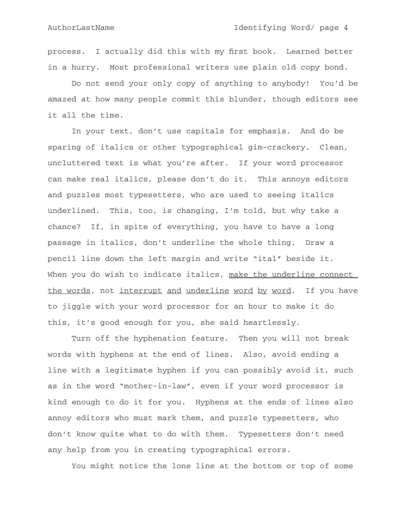process. I actually did this with my first book. Learned better in a hurry. Most professional writers use plain old copy bond.

Do not send your only copy of anything to anybody! You'd be amazed at how many people commit this blunder, though editors see it all the time.

In your text, don't use capitals for emphasis. And do be sparing of italics or other typographical gim-crackery. Clean, uncluttered text is what you're after. If your word processor can make real italics, please don't do it. This annoys editors and puzzles most typesetters, who are used to seeing italics underlined. This, too, is changing, I'm told, but why take a chance? If, in spite of everything, you have to have a long passage in italics, don't underline the whole thing. Draw a pencil line down the left margin and write "ital" beside it. When you do wish to indicate italics, make the underline connect the words, not interrupt and underline word by word. If you have to jiggle with your word processor for an hour to make it do this, it's good enough for you, she said heartlessly.

Turn off the hyphenation feature. Then you will not break words with hyphens at the end of lines. Also, avoid ending a line with a legitimate hyphen if you can possibly avoid it, such as in the word "mother-in-law", even if your word processor is kind enough to do it for you. Hyphens at the ends of lines also annoy editors who must mark them, and puzzle typesetters, who don't know quite what to do with them. Typesetters don't need any help from you in creating typographical errors.

You might notice the lone line at the bottom or top of some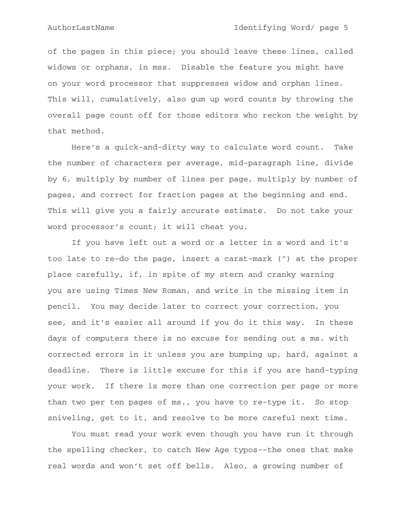of the pages in this piece; you should leave these lines, called widows or orphans, in mss. Disable the feature you might have on your word processor that suppresses widow and orphan lines. This will, cumulatively, also gum up word counts by throwing the overall page count off for those editors who reckon the weight by that method.

Here's a quick-and-dirty way to calculate word count. Take the number of characters per average, mid-paragraph line, divide by 6, multiply by number of lines per page, multiply by number of pages, and correct for fraction pages at the beginning and end. This will give you a fairly accurate estimate. Do not take your word processor's count; it will cheat you.

If you have left out a word or a letter in a word and it's too late to re-do the page, insert a carat-mark (^) at the proper place carefully, if, in spite of my stern and cranky warning you are using Times New Roman, and write in the missing item in pencil. You may decide later to correct your correction, you see, and it's easier all around if you do it this way. In these days of computers there is no excuse for sending out a ms. with corrected errors in it unless you are bumping up, hard, against a deadline. There is little excuse for this if you are hand-typing your work. If there is more than one correction per page or more than two per ten pages of ms., you have to re-type it. So stop sniveling, get to it, and resolve to be more careful next time.

You must read your work even though you have run it through the spelling checker, to catch New Age typos--the ones that make real words and won't set off bells. Also, a growing number of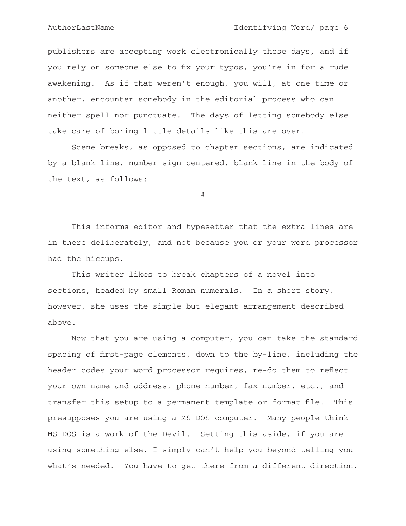publishers are accepting work electronically these days, and if you rely on someone else to fix your typos, you're in for a rude awakening. As if that weren't enough, you will, at one time or another, encounter somebody in the editorial process who can neither spell nor punctuate. The days of letting somebody else take care of boring little details like this are over.

Scene breaks, as opposed to chapter sections, are indicated by a blank line, number-sign centered, blank line in the body of the text, as follows:

#

This informs editor and typesetter that the extra lines are in there deliberately, and not because you or your word processor had the hiccups.

This writer likes to break chapters of a novel into sections, headed by small Roman numerals. In a short story, however, she uses the simple but elegant arrangement described above.

Now that you are using a computer, you can take the standard spacing of first-page elements, down to the by-line, including the header codes your word processor requires, re-do them to reflect your own name and address, phone number, fax number, etc., and transfer this setup to a permanent template or format file. This presupposes you are using a MS-DOS computer. Many people think MS-DOS is a work of the Devil. Setting this aside, if you are using something else, I simply can't help you beyond telling you what's needed. You have to get there from a different direction.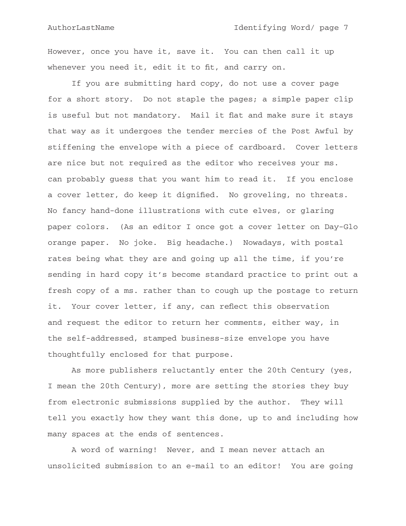However, once you have it, save it. You can then call it up whenever you need it, edit it to fit, and carry on.

If you are submitting hard copy, do not use a cover page for a short story. Do not staple the pages; a simple paper clip is useful but not mandatory. Mail it flat and make sure it stays that way as it undergoes the tender mercies of the Post Awful by stiffening the envelope with a piece of cardboard. Cover letters are nice but not required as the editor who receives your ms. can probably guess that you want him to read it. If you enclose a cover letter, do keep it dignified. No groveling, no threats. No fancy hand-done illustrations with cute elves, or glaring paper colors. (As an editor I once got a cover letter on Day-Glo orange paper. No joke. Big headache.) Nowadays, with postal rates being what they are and going up all the time, if you're sending in hard copy it's become standard practice to print out a fresh copy of a ms. rather than to cough up the postage to return it. Your cover letter, if any, can reflect this observation and request the editor to return her comments, either way, in the self-addressed, stamped business-size envelope you have thoughtfully enclosed for that purpose.

As more publishers reluctantly enter the 20th Century (yes, I mean the 20th Century), more are setting the stories they buy from electronic submissions supplied by the author. They will tell you exactly how they want this done, up to and including how many spaces at the ends of sentences.

A word of warning! Never, and I mean never attach an unsolicited submission to an e-mail to an editor! You are going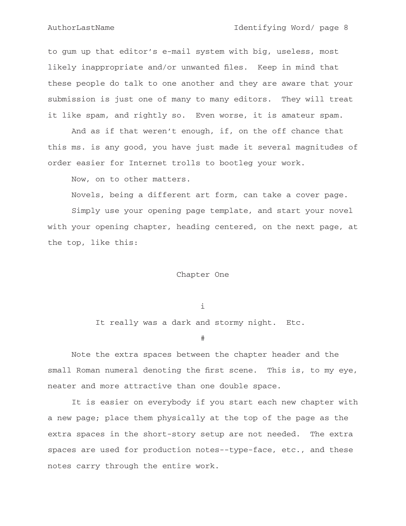to gum up that editor's e-mail system with big, useless, most likely inappropriate and/or unwanted files. Keep in mind that these people do talk to one another and they are aware that your submission is just one of many to many editors. They will treat it like spam, and rightly so. Even worse, it is amateur spam.

And as if that weren't enough, if, on the off chance that this ms. is any good, you have just made it several magnitudes of order easier for Internet trolls to bootleg your work.

Now, on to other matters.

Novels, being a different art form, can take a cover page.

Simply use your opening page template, and start your novel with your opening chapter, heading centered, on the next page, at the top, like this:

## Chapter One

i

It really was a dark and stormy night. Etc.

#

Note the extra spaces between the chapter header and the small Roman numeral denoting the first scene. This is, to my eye, neater and more attractive than one double space.

It is easier on everybody if you start each new chapter with a new page; place them physically at the top of the page as the extra spaces in the short-story setup are not needed. The extra spaces are used for production notes--type-face, etc., and these notes carry through the entire work.